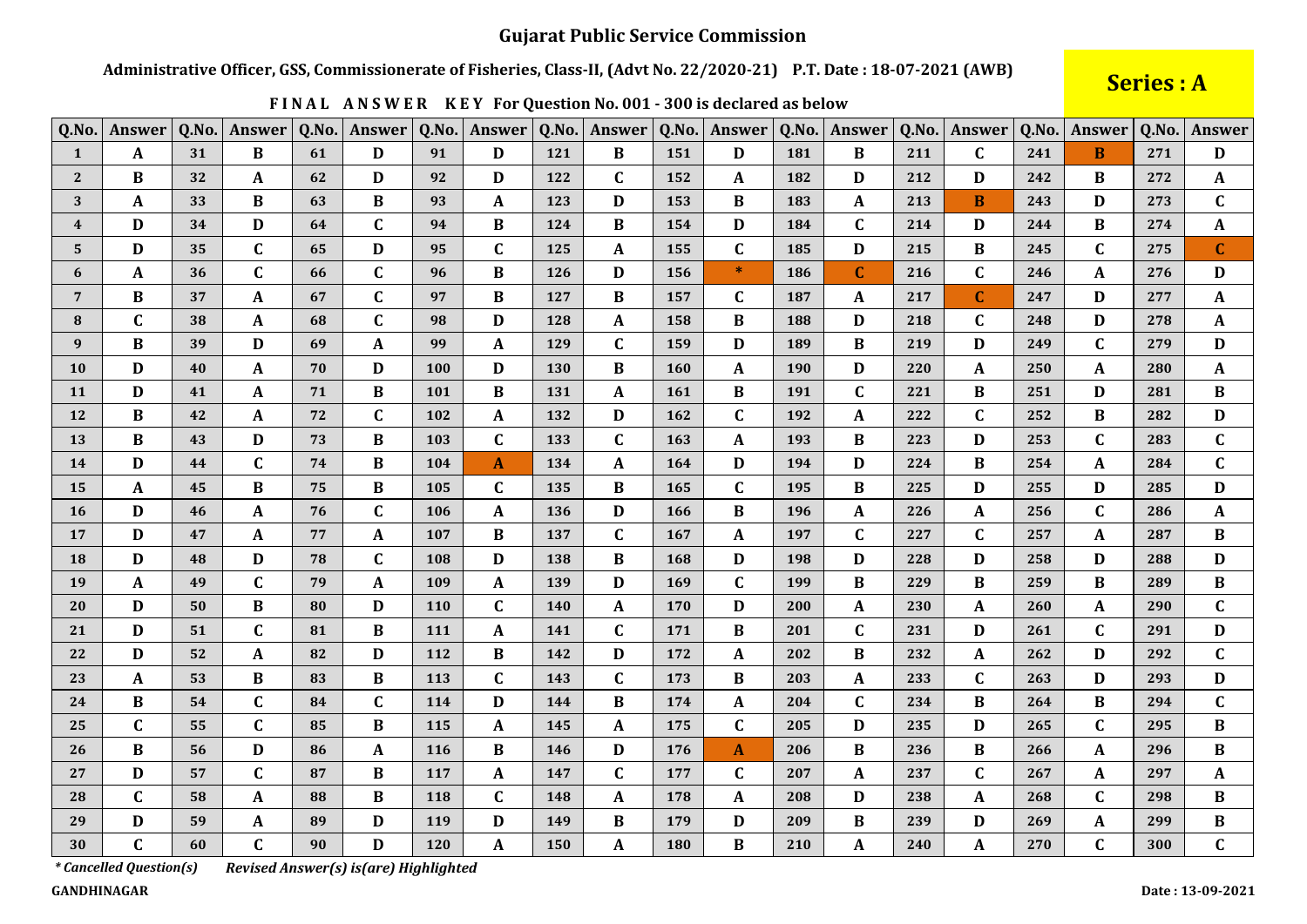Administrative Officer, GSS, Commissionerate of Fisheries, Class-II, (Advt No. 22/2020-21) P.T. Date: 18-07-2021 (AWB)

# Series : A

| Q.No.                   | <b>Answer</b>    | Q.No. | Answer       | Q.No. | <b>Answer</b>    | Q.No. | Answer       | Q.No. | Answer       | Q.No.      | Answer       | Q.No.      | <b>Answer</b> | Q.No. | Answer       | Q.No. | <b>Answer</b> | Q.No. | Answer       |
|-------------------------|------------------|-------|--------------|-------|------------------|-------|--------------|-------|--------------|------------|--------------|------------|---------------|-------|--------------|-------|---------------|-------|--------------|
| $\mathbf{1}$            | A                | 31    | B            | 61    | D                | 91    | D            | 121   | B            | 151        | D            | 181        | B             | 211   | $\mathbf C$  | 241   | B             | 271   | D            |
| $\overline{2}$          | B                | 32    | A            | 62    | D                | 92    | D            | 122   | $\mathbf{C}$ | 152        | A            | 182        | D             | 212   | D            | 242   | B             | 272   | $\mathbf{A}$ |
| 3                       | A                | 33    | В            | 63    | B                | 93    | A            | 123   | D            | 153        | B            | 183        | A             | 213   | B            | 243   | D             | 273   | $\mathbf C$  |
| $\overline{\mathbf{4}}$ | D                | 34    | D            | 64    | $\mathbf C$      | 94    | B            | 124   | B            | 154        | D            | 184        | $\mathbf C$   | 214   | D            | 244   | B             | 274   | $\mathbf{A}$ |
| $\sqrt{5}$              | D                | 35    | $\mathbf C$  | 65    | $\mathbf D$      | 95    | $\mathbf C$  | 125   | $\mathbf{A}$ | 155        | $\mathbf C$  | 185        | $\mathbf D$   | 215   | $\bf{B}$     | 245   | $\mathbf C$   | 275   | $\mathbf{C}$ |
| 6                       | A                | 36    | $\mathbf C$  | 66    | $\mathbf C$      | 96    | $\bf{B}$     | 126   | D            | 156        | $\ast$       | 186        | $\mathbf{C}$  | 216   | $\mathbf C$  | 246   | A             | 276   | $\mathbf{D}$ |
| $7\phantom{.0}$         | $\bf{B}$         | 37    | A            | 67    | $\mathbf C$      | 97    | B            | 127   | B            | 157        | $\mathbf{C}$ | 187        | $\mathbf{A}$  | 217   | $\mathbf{C}$ | 247   | D             | 277   | $\mathbf A$  |
| 8                       | $\mathbf C$      | 38    | A            | 68    | $\mathbf C$      | 98    | D            | 128   | A            | 158        | B            | 188        | D             | 218   | $\mathbf C$  | 248   | D             | 278   | A            |
| 9                       | B                | 39    | D            | 69    | $\mathbf{A}$     | 99    | A            | 129   | $\mathbf C$  | 159        | D            | 189        | $\bf{B}$      | 219   | $\mathbf D$  | 249   | $\mathbf{C}$  | 279   | D            |
| 10                      | D                | 40    | A            | 70    | $\mathbf D$      | 100   | D            | 130   | $\bf{B}$     | <b>160</b> | A            | <b>190</b> | D             | 220   | A            | 250   | A             | 280   | A            |
| 11                      | D                | 41    | A            | 71    | B                | 101   | $\bf{B}$     | 131   | A            | 161        | $\bf{B}$     | 191        | $\mathbf{C}$  | 221   | B            | 251   | D             | 281   | $\bf{B}$     |
| 12                      | $\bf{B}$         | 42    | A            | 72    | $\mathbf C$      | 102   | A            | 132   | D            | 162        | $\mathbf C$  | 192        | A             | 222   | $\mathbf C$  | 252   | B             | 282   | $\mathbf D$  |
| 13                      | $\bf{B}$         | 43    | D            | 73    | B                | 103   | $\mathbf{C}$ | 133   | $\mathbf C$  | 163        | A            | 193        | $\bf{B}$      | 223   | D            | 253   | $\mathbf{C}$  | 283   | $\mathbf C$  |
| 14                      | D                | 44    | $\mathbf C$  | 74    | $\bf{B}$         | 104   | A            | 134   | A            | 164        | $\mathbf{D}$ | 194        | D             | 224   | $\bf{B}$     | 254   | A             | 284   | $\mathbf C$  |
| 15                      | A                | 45    | В            | 75    | B                | 105   | C            | 135   | B            | 165        | $\mathbf C$  | 195        | B             | 225   | D            | 255   | D             | 285   | $\mathbf D$  |
| 16                      | D                | 46    | $\mathbf{A}$ | 76    | $\mathbf C$      | 106   | $\mathbf{A}$ | 136   | D            | 166        | $\bf{B}$     | 196        | $\mathbf{A}$  | 226   | $\mathbf{A}$ | 256   | $\mathbf{C}$  | 286   | $\mathbf{A}$ |
| 17                      | D                | 47    | A            | 77    | A                | 107   | B            | 137   | $\mathbf{C}$ | 167        | A            | 197        | $\mathbf C$   | 227   | $\mathbf C$  | 257   | A             | 287   | B            |
| 18                      | D                | 48    | D            | 78    | $\mathbf C$      | 108   | D            | 138   | B            | 168        | D            | 198        | $\mathbf{D}$  | 228   | D            | 258   | D             | 288   | $\mathbf{D}$ |
| 19                      | $\mathbf{A}$     | 49    | $\mathbf C$  | 79    | $\boldsymbol{A}$ | 109   | A            | 139   | D            | 169        | $\mathbf{C}$ | 199        | $\bf{B}$      | 229   | $\bf{B}$     | 259   | B             | 289   | $\bf{B}$     |
| 20                      | D                | 50    | B            | 80    | D                | 110   | $\mathbf{C}$ | 140   | A            | 170        | D            | 200        | A             | 230   | A            | 260   | A             | 290   | $\mathbf C$  |
| 21                      | D                | 51    | $\mathbf C$  | 81    | $\, {\bf B}$     | 111   | $\mathbf{A}$ | 141   | $\mathbf C$  | 171        | $\bf{B}$     | 201        | $\mathbf C$   | 231   | D            | 261   | $\mathbf C$   | 291   | $\mathbf D$  |
| 22                      | D                | 52    | A            | 82    | D                | 112   | B            | 142   | D            | 172        | A            | 202        | B             | 232   | A            | 262   | D             | 292   | $\mathbf C$  |
| 23                      | $\boldsymbol{A}$ | 53    | B            | 83    | $\, {\bf B}$     | 113   | $\mathbf C$  | 143   | $\mathbf C$  | 173        | $\bf{B}$     | 203        | $\mathbf A$   | 233   | $\mathbf C$  | 263   | D             | 293   | $\mathbf D$  |
| 24                      | $\bf{B}$         | 54    | $\mathbf C$  | 84    | $\mathbf C$      | 114   | D            | 144   | B            | 174        | A            | 204        | $\mathbf C$   | 234   | B            | 264   | B             | 294   | $\mathbf C$  |
| 25                      | $\mathbf C$      | 55    | $\mathbf C$  | 85    | B                | 115   | A            | 145   | A            | 175        | $\mathbf C$  | 205        | D             | 235   | D            | 265   | C             | 295   | B            |
| 26                      | $\bf{B}$         | 56    | D            | 86    | $\boldsymbol{A}$ | 116   | B            | 146   | D            | 176        | $\mathbf{A}$ | 206        | B             | 236   | $\bf{B}$     | 266   | A             | 296   | B            |
| 27                      | D                | 57    | $\mathbf C$  | 87    | B                | 117   | A            | 147   | $\mathbf C$  | 177        | $\mathbf C$  | 207        | A             | 237   | $\mathbf C$  | 267   | A             | 297   | $\mathbf{A}$ |
| 28                      | $\mathbf C$      | 58    | A            | 88    | $\, {\bf B}$     | 118   | C            | 148   | A            | 178        | A            | 208        | D             | 238   | A            | 268   | $\mathbf C$   | 298   | $\bf{B}$     |
| 29                      | D                | 59    | A            | 89    | $\mathbf D$      | 119   | D            | 149   | B            | 179        | $\mathbf{D}$ | 209        | $\bf{B}$      | 239   | D            | 269   | A             | 299   | B            |
| 30                      | $\mathbf C$      | 60    | $\mathbf C$  | 90    | D                | 120   | A            | 150   | A            | 180        | $\bf{B}$     | 210        | A             | 240   | A            | 270   | $\mathbf C$   | 300   | $\mathbf{C}$ |

FINAL ANSWER KEY For Question No. 001 - 300 is declared as below

*\* Cancelled Question(s)* 

Revised Answer(s) is(are) Highlighted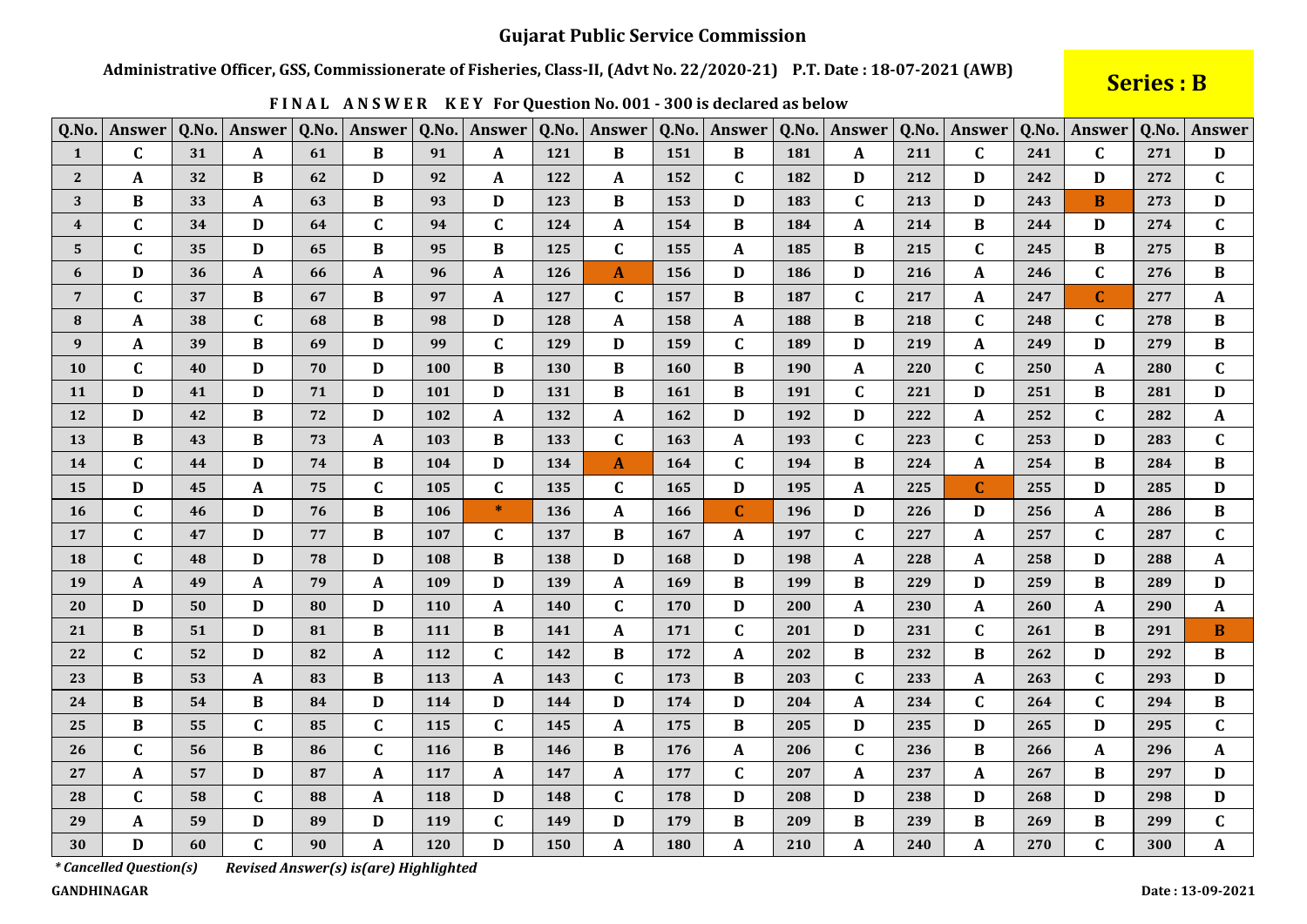Administrative Officer, GSS, Commissionerate of Fisheries, Class-II, (Advt No. 22/2020-21) P.T. Date: 18-07-2021 (AWB)

# **Series: B**

Date: 13-09-2021

| Q.No.                   | <b>Answer</b>           | Q.No. | Answer       | Q.No. | Answer                                | Q.No. | Answer       | Q.No. | Answer       | Q.No.      | Answer       | Q.No. | Answer       |     | Q.No. Answer | Q.No. | Answer       | Q.No. | Answer                    |
|-------------------------|-------------------------|-------|--------------|-------|---------------------------------------|-------|--------------|-------|--------------|------------|--------------|-------|--------------|-----|--------------|-------|--------------|-------|---------------------------|
| $\mathbf{1}$            | $\mathbf C$             | 31    | A            | 61    | B                                     | 91    | A            | 121   | B            | 151        | $\bf{B}$     | 181   | A            | 211 | $\mathbf{C}$ | 241   | $\mathbf{C}$ | 271   | D                         |
| $\mathbf{2}$            | $\boldsymbol{A}$        | 32    | B            | 62    | D                                     | 92    | A            | 122   | A            | 152        | $\mathbf C$  | 182   | D            | 212 | D            | 242   | D            | 272   | $\mathbf C$               |
| 3                       | B                       | 33    | A            | 63    | $\bf{B}$                              | 93    | D            | 123   | B            | 153        | D            | 183   | $\mathbf C$  | 213 | D            | 243   | B            | 273   | D                         |
| $\overline{\mathbf{4}}$ | $\mathbf C$             | 34    | D            | 64    | $\mathbf C$                           | 94    | $\mathbf C$  | 124   | A            | 154        | $\bf{B}$     | 184   | $\mathbf{A}$ | 214 | $\bf{B}$     | 244   | D            | 274   | $\mathbf C$               |
| 5                       | $\mathbf C$             | 35    | D            | 65    | $\, {\bf B}$                          | 95    | $\, {\bf B}$ | 125   | $\mathbf C$  | 155        | $\mathbf A$  | 185   | B            | 215 | $\mathbf C$  | 245   | B            | 275   | $\bf{B}$                  |
| 6                       | D                       | 36    | A            | 66    | $\mathbf A$                           | 96    | A            | 126   | A            | 156        | D            | 186   | D            | 216 | A            | 246   | $\mathbf C$  | 276   | B                         |
| $\overline{7}$          | $\mathbf C$             | 37    | $\bf{B}$     | 67    | $\bf{B}$                              | 97    | A            | 127   | $\mathbf C$  | 157        | $\bf{B}$     | 187   | $\mathbf{C}$ | 217 | A            | 247   | $\mathbf{C}$ | 277   | $\mathbf A$               |
| 8                       | A                       | 38    | C            | 68    | $\bf{B}$                              | 98    | D            | 128   | A            | 158        | A            | 188   | B            | 218 | $\mathbf C$  | 248   | $\mathbf{C}$ | 278   | $\bf{B}$                  |
| 9                       | A                       | 39    | B            | 69    | $\mathbf D$                           | 99    | C            | 129   | D            | 159        | $\mathbf C$  | 189   | D            | 219 | A            | 249   | D            | 279   | B                         |
| 10                      | $\mathbf C$             | 40    | D            | 70    | $\mathbf D$                           | 100   | $\bf{B}$     | 130   | B            | 160        | $\bf{B}$     | 190   | $\mathbf{A}$ | 220 | $\mathbf C$  | 250   | A            | 280   | $\mathbf C$               |
| <b>11</b>               | D                       | 41    | D            | 71    | $\mathbf D$                           | 101   | D            | 131   | $\bf{B}$     | <b>161</b> | $\bf{B}$     | 191   | $\mathbf C$  | 221 | D            | 251   | B            | 281   | $\mathbf D$               |
| 12                      | D                       | 42    | B            | 72    | D                                     | 102   | A            | 132   | A            | 162        | D            | 192   | D            | 222 | $\mathbf A$  | 252   | $\mathbf{C}$ | 282   | $\mathbf A$               |
| 13                      | $\bf{B}$                | 43    | B            | 73    | $\mathbf{A}$                          | 103   | B            | 133   | $\mathbf C$  | 163        | $\mathbf A$  | 193   | $\mathbf C$  | 223 | $\mathbf C$  | 253   | D            | 283   | $\mathbf C$               |
| 14                      | $\mathbf C$             | 44    | D            | 74    | $\bf{B}$                              | 104   | D            | 134   | $\mathbf{A}$ | 164        | $\mathbf C$  | 194   | $\bf{B}$     | 224 | A            | 254   | $\bf{B}$     | 284   | B                         |
| 15                      | D                       | 45    | A            | 75    | $\mathbf C$                           | 105   | C            | 135   | C            | 165        | D            | 195   | $\mathbf{A}$ | 225 | $\mathbf C$  | 255   | D            | 285   | D                         |
| <b>16</b>               | $\mathbf C$             | 46    | D            | 76    | $\, {\bf B}$                          | 106   | $*$          | 136   | A            | 166        | $\mathbf C$  | 196   | $\mathbf D$  | 226 | D            | 256   | A            | 286   | $\, {\bf B}$              |
| 17                      | $\mathbf C$             | 47    | D            | 77    | $\, {\bf B}$                          | 107   | C            | 137   | B            | 167        | A            | 197   | $\mathbf C$  | 227 | A            | 257   | $\mathbf C$  | 287   | $\mathbf C$               |
| 18                      | $\mathbf C$             | 48    | D            | 78    | $\mathbf D$                           | 108   | $\bf{B}$     | 138   | D            | 168        | D            | 198   | $\mathbf A$  | 228 | A            | 258   | D            | 288   | $\boldsymbol{\mathsf{A}}$ |
| 19                      | A                       | 49    | A            | 79    | $\mathbf{A}$                          | 109   | D            | 139   | A            | 169        | B            | 199   | B            | 229 | D            | 259   | B            | 289   | D                         |
| 20                      | D                       | 50    | D            | 80    | D                                     | 110   | A            | 140   | $\mathbf C$  | 170        | D            | 200   | A            | 230 | A            | 260   | A            | 290   | A                         |
| 21                      | $\bf{B}$                | 51    | D            | 81    | $\, {\bf B}$                          | 111   | $\, {\bf B}$ | 141   | $\mathbf{A}$ | 171        | $\mathbf C$  | 201   | D            | 231 | $\mathbf C$  | 261   | $\bf{B}$     | 291   | $\bf{B}$                  |
| 22                      | $\mathbf C$             | 52    | D            | 82    | $\boldsymbol{\mathsf{A}}$             | 112   | $\mathbf C$  | 142   | B            | 172        | $\mathbf A$  | 202   | $\bf{B}$     | 232 | B            | 262   | D            | 292   | $\bf{B}$                  |
| 23                      | B                       | 53    | A            | 83    | $\, {\bf B}$                          | 113   | A            | 143   | $\mathbf{C}$ | 173        | B            | 203   | $\mathbf C$  | 233 | A            | 263   | C            | 293   | D                         |
| 24                      | $\bf{B}$                | 54    | B            | 84    | $\mathbf D$                           | 114   | D            | 144   | D            | 174        | D            | 204   | A            | 234 | $\mathbf C$  | 264   | $\mathbf C$  | 294   | $\bf{B}$                  |
| 25                      | $\bf{B}$                | 55    | $\mathbf C$  | 85    | $\mathbf C$                           | 115   | C            | 145   | A            | 175        | $\bf{B}$     | 205   | D            | 235 | D            | 265   | D            | 295   | $\mathbf C$               |
| 26                      | $\mathbf C$             | 56    | $\bf{B}$     | 86    | $\mathbf C$                           | 116   | $\bf{B}$     | 146   | $\bf{B}$     | 176        | A            | 206   | $\mathbf C$  | 236 | $\bf{B}$     | 266   | A            | 296   | $\boldsymbol{\mathsf{A}}$ |
| 27                      | A                       | 57    | D            | 87    | $\mathbf A$                           | 117   | A            | 147   | A            | 177        | $\mathbf C$  | 207   | $\mathbf A$  | 237 | A            | 267   | B            | 297   | D                         |
| 28                      | $\mathbf C$             | 58    | $\mathbf C$  | 88    | $\boldsymbol{\mathsf{A}}$             | 118   | D            | 148   | $\mathbf C$  | 178        | D            | 208   | D            | 238 | D            | 268   | D            | 298   | $\mathbf D$               |
| 29                      | A                       | 59    | D            | 89    | $\mathbf D$                           | 119   | $\mathbf C$  | 149   | D            | 179        | $\bf{B}$     | 209   | $\bf{B}$     | 239 | B            | 269   | B            | 299   | $\mathbf C$               |
| 30                      | D                       | 60    | $\mathbf{C}$ | 90    | $\mathbf{A}$                          | 120   | $\mathbf D$  | 150   | A            | 180        | $\mathbf{A}$ | 210   | $\mathbf A$  | 240 | $\mathbf A$  | 270   | $\mathbf C$  | 300   | $\mathbf A$               |
|                         | * Cancelled Question(s) |       |              |       | Revised Answer(s) is(are) Highlighted |       |              |       |              |            |              |       |              |     |              |       |              |       |                           |

FINAL ANSWER KEY For Question No. 001 - 300 is declared as below

Revised Answer(s) is(are) Highlighted

**GANDHINAGAR**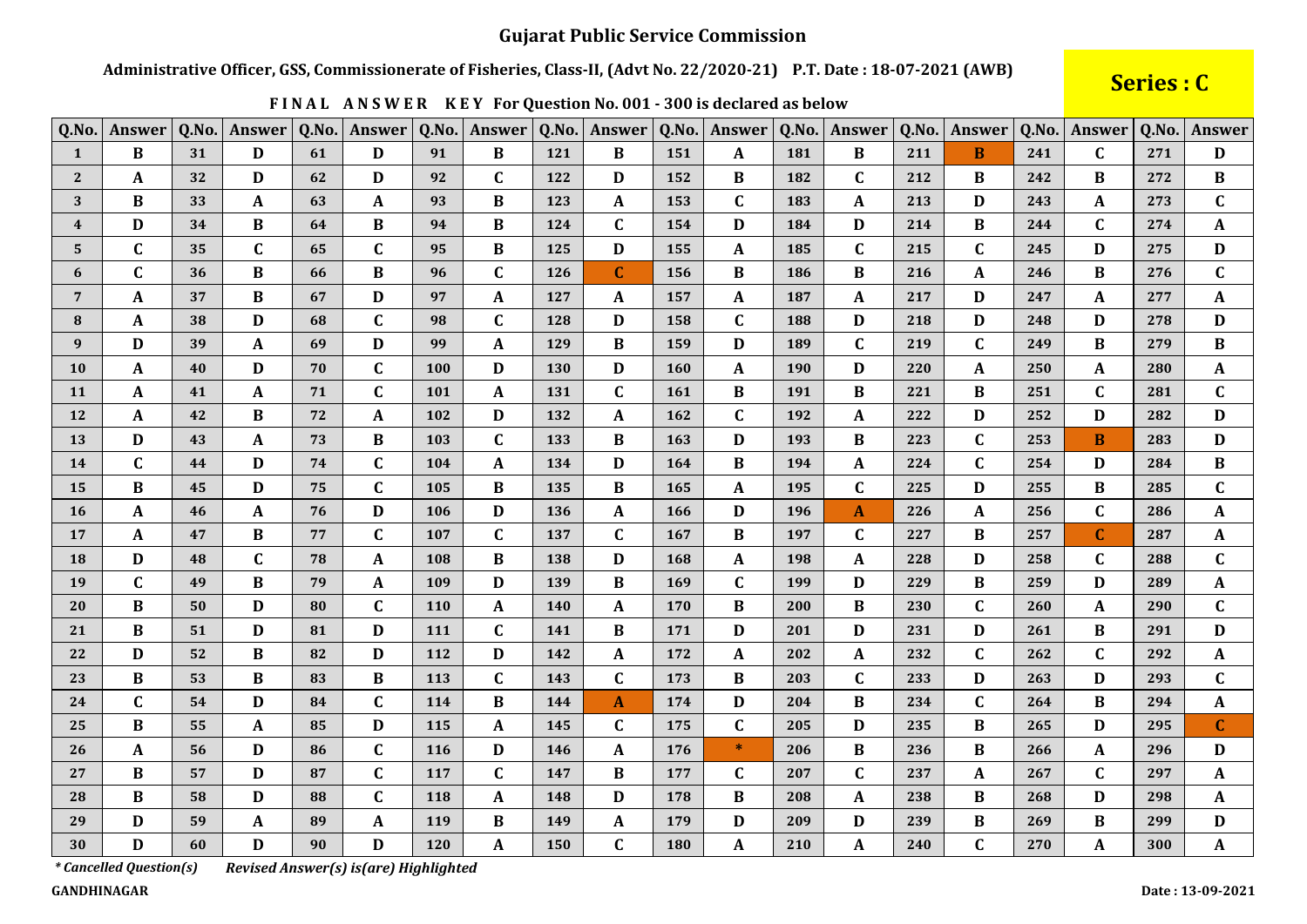Administrative Officer, GSS, Commissionerate of Fisheries, Class-II, (Advt No. 22/2020-21) P.T. Date: 18-07-2021 (AWB)

# Series : C

| Q.No.          | <b>Answer</b>    | Q.No. | Answer      | Q.No. | Answer       | Q.No. | Answer       |     | Q.No.   Answer | Q.No.      | Answer       | Q.No. | Answer           | Q.No. | Answer       | Q.No. | Answer       | Q.No. | Answer           |
|----------------|------------------|-------|-------------|-------|--------------|-------|--------------|-----|----------------|------------|--------------|-------|------------------|-------|--------------|-------|--------------|-------|------------------|
| $\mathbf{1}$   | $\bf{B}$         | 31    | D           | 61    | D            | 91    | $\bf{B}$     | 121 | B              | 151        | A            | 181   | B                | 211   | B            | 241   | $\mathbf{C}$ | 271   | D                |
| $2^{\circ}$    | $\boldsymbol{A}$ | 32    | D           | 62    | $\mathbf D$  | 92    | $\mathbf C$  | 122 | D              | 152        | $\bf{B}$     | 182   | $\mathbf C$      | 212   | $\bf{B}$     | 242   | B            | 272   | $\bf{B}$         |
| 3              | B                | 33    | A           | 63    | $\mathbf A$  | 93    | B            | 123 | A              | 153        | $\mathbf{C}$ | 183   | A                | 213   | D            | 243   | A            | 273   | $\mathbf{C}$     |
| $\overline{4}$ | D                | 34    | B           | 64    | $\, {\bf B}$ | 94    | $\bf{B}$     | 124 | $\mathbf C$    | 154        | D            | 184   | $\mathbf{D}$     | 214   | $\bf{B}$     | 244   | $\mathbf{C}$ | 274   | A                |
| 5              | $\mathbf C$      | 35    | $\mathbf C$ | 65    | $\mathbf C$  | 95    | B            | 125 | D              | 155        | A            | 185   | $\mathbf C$      | 215   | $\mathbf C$  | 245   | D            | 275   | D                |
| 6              | $\mathbf C$      | 36    | B           | 66    | $\, {\bf B}$ | 96    | $\mathbf{C}$ | 126 | $\mathbf C$    | 156        | $\bf{B}$     | 186   | $\, {\bf B}$     | 216   | $\mathbf A$  | 246   | B            | 276   | $\mathbf C$      |
| $\overline{7}$ | A                | 37    | В           | 67    | D            | 97    | A            | 127 | A              | 157        | A            | 187   | A                | 217   | D            | 247   | A            | 277   | $\mathbf A$      |
| ${\bf 8}$      | A                | 38    | D           | 68    | $\mathbf C$  | 98    | $\mathbf C$  | 128 | D              | 158        | $\mathbf C$  | 188   | D                | 218   | D            | 248   | D            | 278   | D                |
| 9              | D                | 39    | A           | 69    | $\mathbf D$  | 99    | A            | 129 | B              | 159        | D            | 189   | $\mathbf C$      | 219   | $\mathbf C$  | 249   | B            | 279   | B                |
| 10             | A                | 40    | D           | 70    | $\mathbf C$  | 100   | D            | 130 | D              | <b>160</b> | $\mathbf A$  | 190   | D                | 220   | A            | 250   | A            | 280   | $\mathbf A$      |
| 11             | A                | 41    | A           | 71    | $\mathbf C$  | 101   | A            | 131 | $\mathbf C$    | <b>161</b> | B            | 191   | B                | 221   | B            | 251   | $\mathbf{C}$ | 281   | $\mathbf C$      |
| 12             | $\boldsymbol{A}$ | 42    | B           | 72    | A            | 102   | D            | 132 | A              | 162        | $\mathbf C$  | 192   | A                | 222   | D            | 252   | D            | 282   | D                |
| 13             | D                | 43    | A           | 73    | B            | 103   | $\mathbf{C}$ | 133 | B              | 163        | D            | 193   | B                | 223   | $\mathbf C$  | 253   | <sub>B</sub> | 283   | D                |
| 14             | $\mathbf C$      | 44    | D           | 74    | $\mathbf C$  | 104   | A            | 134 | D              | 164        | $\bf{B}$     | 194   | $\boldsymbol{A}$ | 224   | $\mathbf{C}$ | 254   | D            | 284   | $\, {\bf B}$     |
| 15             | B                | 45    | D           | 75    | $\mathbf C$  | 105   | B            | 135 | B              | 165        | A            | 195   | $\mathbf C$      | 225   | D            | 255   | B            | 285   | $\mathbf C$      |
| <b>16</b>      | $\boldsymbol{A}$ | 46    | A           | 76    | $\mathbf D$  | 106   | D            | 136 | $\mathbf{A}$   | 166        | D            | 196   | $\mathbf{A}$     | 226   | $\mathbf A$  | 256   | $\mathbf C$  | 286   | $\mathbf A$      |
| 17             | $\boldsymbol{A}$ | 47    | B           | 77    | $\mathbf C$  | 107   | C            | 137 | $\mathbf C$    | 167        | B            | 197   | $\mathbf C$      | 227   | B            | 257   | $\mathbf{C}$ | 287   | $\mathbf A$      |
| 18             | D                | 48    | $\mathbf C$ | 78    | $\pmb{A}$    | 108   | $\bf{B}$     | 138 | D              | 168        | $\mathbf A$  | 198   | $\mathbf{A}$     | 228   | D            | 258   | $\mathbf C$  | 288   | $\mathbf C$      |
| 19             | $\mathbf C$      | 49    | B           | 79    | $\pmb{A}$    | 109   | D            | 139 | B              | 169        | $\mathbf C$  | 199   | D                | 229   | $\bf{B}$     | 259   | D            | 289   | $\boldsymbol{A}$ |
| 20             | B                | 50    | D           | 80    | $\mathbf C$  | 110   | A            | 140 | A              | 170        | B            | 200   | B                | 230   | $\mathbf C$  | 260   | A            | 290   | $\mathbf C$      |
| 21             | B                | 51    | D           | 81    | $\mathbf D$  | 111   | C            | 141 | B              | 171        | D            | 201   | D                | 231   | D            | 261   | B            | 291   | D                |
| 22             | D                | 52    | $\bf{B}$    | 82    | $\mathbf D$  | 112   | D            | 142 | A              | 172        | $\mathbf{A}$ | 202   | A                | 232   | $\mathbf C$  | 262   | $\mathbf C$  | 292   | $\mathbf{A}$     |
| 23             | B                | 53    | B           | 83    | $\bf{B}$     | 113   | $\mathbf{C}$ | 143 | $\mathbf C$    | 173        | B            | 203   | $\mathbf C$      | 233   | D            | 263   | D            | 293   | $\mathbf C$      |
| 24             | $\mathbf C$      | 54    | D           | 84    | $\mathbf C$  | 114   | $\bf{B}$     | 144 | A              | 174        | $\mathbf D$  | 204   | $\, {\bf B}$     | 234   | $\mathbf C$  | 264   | B            | 294   | $\boldsymbol{A}$ |
| 25             | B                | 55    | A           | 85    | D            | 115   | A            | 145 | C              | 175        | $\mathbf C$  | 205   | D                | 235   | B            | 265   | D            | 295   | $\mathbf C$      |
| 26             | A                | 56    | D           | 86    | $\mathbf C$  | 116   | D            | 146 | A              | 176        | $\ast$       | 206   | B                | 236   | B            | 266   | A            | 296   | D                |
| 27             | B                | 57    | D           | 87    | $\mathbf C$  | 117   | C            | 147 | B              | 177        | C            | 207   | $\mathbf C$      | 237   | A            | 267   | $\mathbf{C}$ | 297   | $\mathbf A$      |
| 28             | B                | 58    | D           | 88    | $\mathbf C$  | 118   | A            | 148 | D              | 178        | $\bf{B}$     | 208   | $\mathbf A$      | 238   | B            | 268   | D            | 298   | $\mathbf A$      |
| 29             | D                | 59    | A           | 89    | A            | 119   | B            | 149 | A              | 179        | D            | 209   | D                | 239   | $\bf{B}$     | 269   | B            | 299   | $\mathbf D$      |
| 30             | D                | 60    | D           | 90    | $\mathbf D$  | 120   | A            | 150 | $\mathbf C$    | 180        | $\mathbf{A}$ | 210   | $\mathbf A$      | 240   | $\mathbf C$  | 270   | A            | 300   | A                |

FINAL ANSWER KEY For Question No. 001 - 300 is declared as below

*\* Cancelled Question(s)* 

Revised Answer(s) is(are) Highlighted